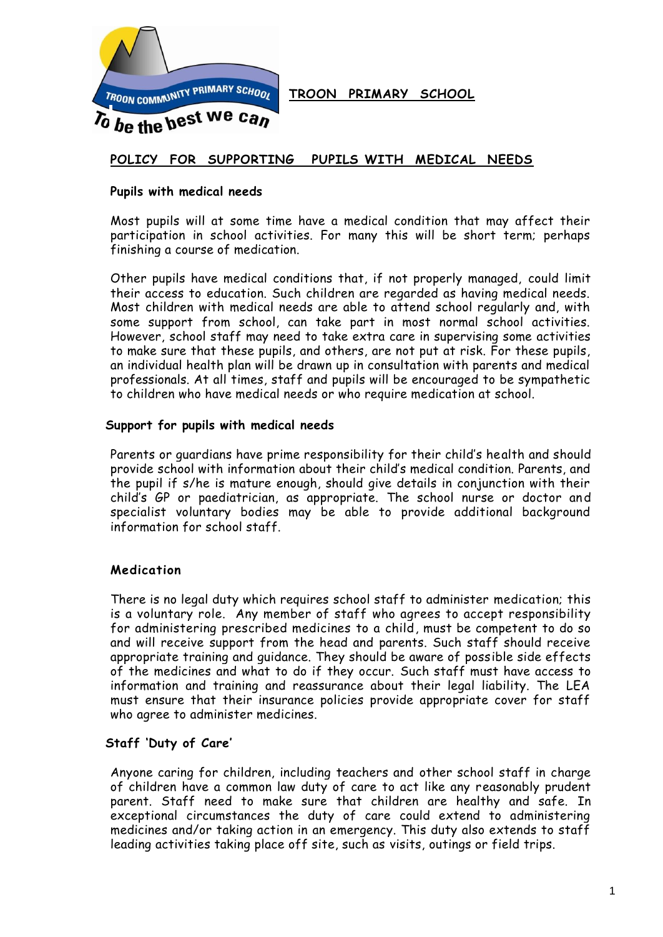

**TROON PRIMARY SCHOOL**

# **POLICY FOR SUPPORTING PUPILS WITH MEDICAL NEEDS**

#### **Pupils with medical needs**

Most pupils will at some time have a medical condition that may affect their participation in school activities. For many this will be short term; perhaps finishing a course of medication.

Other pupils have medical conditions that, if not properly managed, could limit their access to education. Such children are regarded as having medical needs. Most children with medical needs are able to attend school regularly and, with some support from school, can take part in most normal school activities. However, school staff may need to take extra care in supervising some activities to make sure that these pupils, and others, are not put at risk. For these pupils, an individual health plan will be drawn up in consultation with parents and medical professionals. At all times, staff and pupils will be encouraged to be sympathetic to children who have medical needs or who require medication at school.

#### **Support for pupils with medical needs**

Parents or guardians have prime responsibility for their child's health and should provide school with information about their child's medical condition. Parents, and the pupil if s/he is mature enough, should give details in conjunction with their child's GP or paediatrician, as appropriate. The school nurse or doctor and specialist voluntary bodies may be able to provide additional background information for school staff.

### **Medication**

There is no legal duty which requires school staff to administer medication; this is a voluntary role. Any member of staff who agrees to accept responsibility for administering prescribed medicines to a child, must be competent to do so and will receive support from the head and parents. Such staff should receive appropriate training and guidance. They should be aware of possible side effects of the medicines and what to do if they occur. Such staff must have access to information and training and reassurance about their legal liability. The LEA must ensure that their insurance policies provide appropriate cover for staff who agree to administer medicines.

### **Staff 'Duty of Care'**

Anyone caring for children, including teachers and other school staff in charge of children have a common law duty of care to act like any reasonably prudent parent. Staff need to make sure that children are healthy and safe. In exceptional circumstances the duty of care could extend to administering medicines and/or taking action in an emergency. This duty also extends to staff leading activities taking place off site, such as visits, outings or field trips.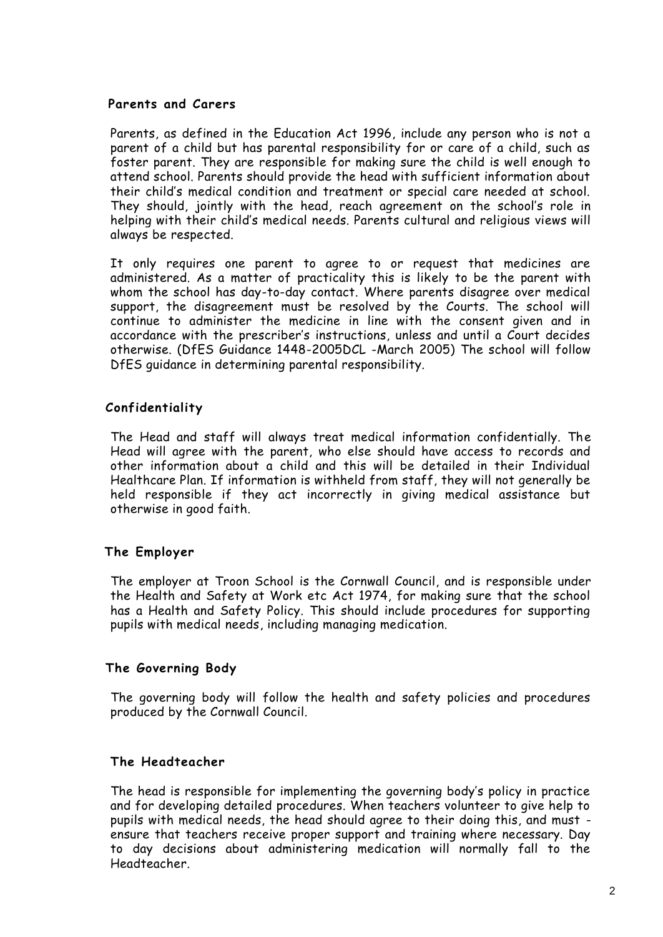### **Parents and Carers**

Parents, as defined in the Education Act 1996, include any person who is not a parent of a child but has parental responsibility for or care of a child, such as foster parent. They are responsible for making sure the child is well enough to attend school. Parents should provide the head with sufficient information about their child's medical condition and treatment or special care needed at school. They should, jointly with the head, reach agreement on the school's role in helping with their child's medical needs. Parents cultural and religious views will always be respected.

It only requires one parent to agree to or request that medicines are administered. As a matter of practicality this is likely to be the parent with whom the school has day-to-day contact. Where parents disagree over medical support, the disagreement must be resolved by the Courts. The school will continue to administer the medicine in line with the consent given and in accordance with the prescriber's instructions, unless and until a Court decides otherwise. (DfES Guidance 1448-2005DCL -March 2005) The school will follow DfES guidance in determining parental responsibility.

# **Confidentiality**

The Head and staff will always treat medical information confidentially. The Head will agree with the parent, who else should have access to records and other information about a child and this will be detailed in their Individual Healthcare Plan. If information is withheld from staff, they will not generally be held responsible if they act incorrectly in giving medical assistance but otherwise in good faith.

## **The Employer**

The employer at Troon School is the Cornwall Council, and is responsible under the Health and Safety at Work etc Act 1974, for making sure that the school has a Health and Safety Policy. This should include procedures for supporting pupils with medical needs, including managing medication.

## **The Governing Body**

The governing body will follow the health and safety policies and procedures produced by the Cornwall Council.

## **The Headteacher**

The head is responsible for implementing the governing body's policy in practice and for developing detailed procedures. When teachers volunteer to give help to pupils with medical needs, the head should agree to their doing this, and must ensure that teachers receive proper support and training where necessary. Day to day decisions about administering medication will normally fall to the Headteacher.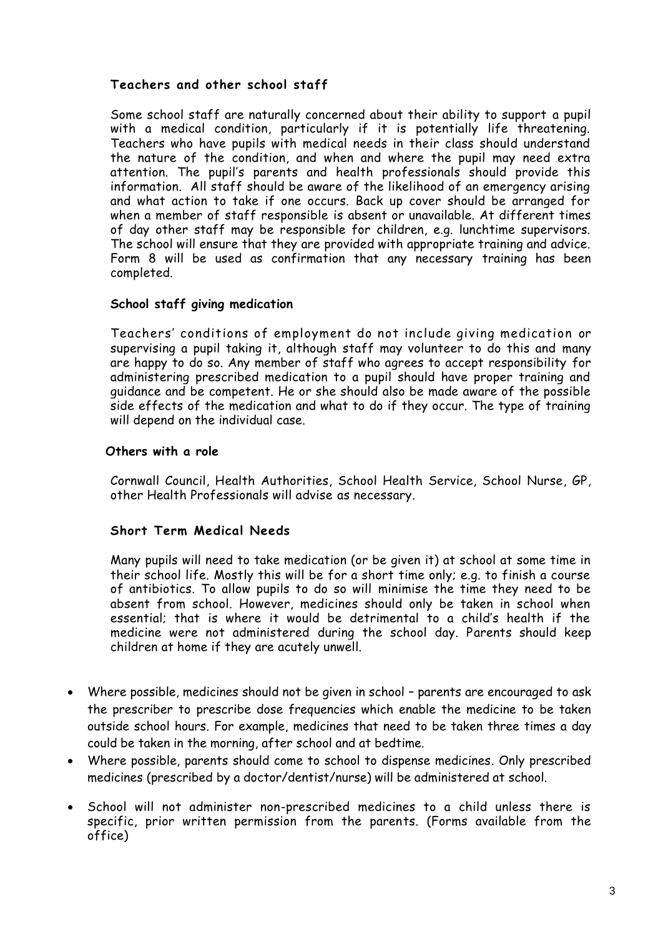# **Teachers and other school staff**

Some school staff are naturally concerned about their ability to support a pupil with a medical condition, particularly if it is potentially life threatening. Teachers who have pupils with medical needs in their class should understand the nature of the condition, and when and where the pupil may need extra attention. The pupil's parents and health professionals should provide this information. All staff should be aware of the likelihood of an emergency arising and what action to take if one occurs. Back up cover should be arranged for when a member of staff responsible is absent or unavailable. At different times of day other staff may be responsible for children, e.g. lunchtime supervisors. The school will ensure that they are provided with appropriate training and advice. Form 8 will be used as confirmation that any necessary training has been completed.

### **School staff giving medication**

Teachers' conditions of employment do not include giving medication or supervising a pupil taking it, although staff may volunteer to do this and many are happy to do so. Any member of staff who agrees to accept responsibility for administering prescribed medication to a pupil should have proper training and guidance and be competent. He or she should also be made aware of the possible side effects of the medication and what to do if they occur. The type of training will depend on the individual case.

### **Others with a role**

Cornwall Council, Health Authorities, School Health Service, School Nurse, GP, other Health Professionals will advise as necessary.

### **Short Term Medical Needs**

Many pupils will need to take medication (or be given it) at school at some time in their school life. Mostly this will be for a short time only; e.g. to finish a course of antibiotics. To allow pupils to do so will minimise the time they need to be absent from school. However, medicines should only be taken in school when essential; that is where it would be detrimental to a child's health if the medicine were not administered during the school day. Parents should keep children at home if they are acutely unwell.

- Where possible, medicines should not be given in school parents are encouraged to ask the prescriber to prescribe dose frequencies which enable the medicine to be taken outside school hours. For example, medicines that need to be taken three times a day could be taken in the morning, after school and at bedtime.
- Where possible, parents should come to school to dispense medicines. Only prescribed medicines (prescribed by a doctor/dentist/nurse) will be administered at school.
- School will not administer non-prescribed medicines to a child unless there is specific, prior written permission from the parents. (Forms available from the office)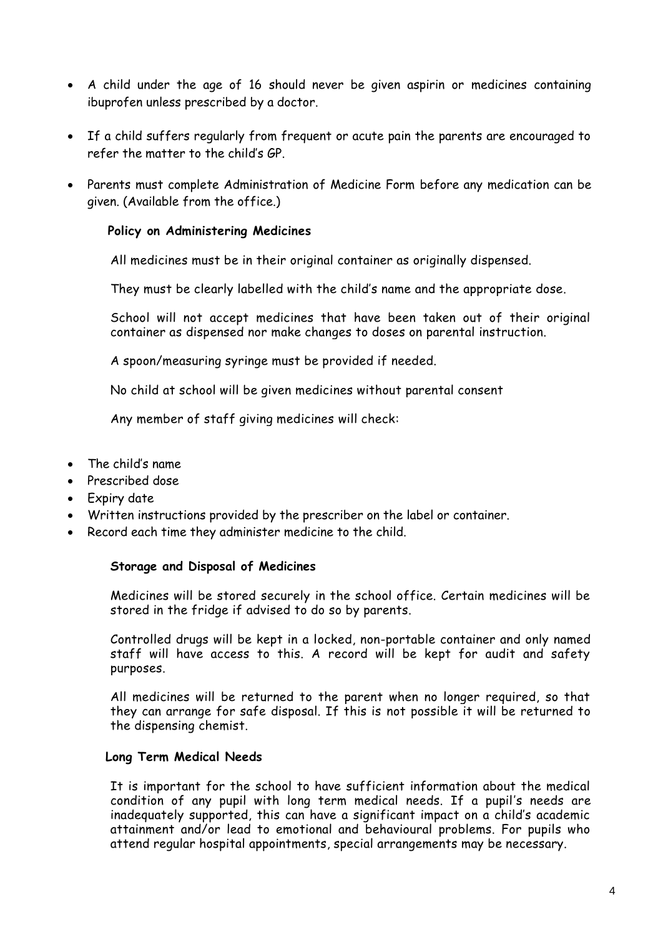- A child under the age of 16 should never be given aspirin or medicines containing ibuprofen unless prescribed by a doctor.
- If a child suffers regularly from frequent or acute pain the parents are encouraged to refer the matter to the child's GP.
- Parents must complete Administration of Medicine Form before any medication can be given. (Available from the office.)

### **Policy on Administering Medicines**

All medicines must be in their original container as originally dispensed.

They must be clearly labelled with the child's name and the appropriate dose.

School will not accept medicines that have been taken out of their original container as dispensed nor make changes to doses on parental instruction.

A spoon/measuring syringe must be provided if needed.

No child at school will be given medicines without parental consent

Any member of staff giving medicines will check:

- The child's name.
- Prescribed dose
- Expiry date
- Written instructions provided by the prescriber on the label or container.
- Record each time they administer medicine to the child.

### **Storage and Disposal of Medicines**

Medicines will be stored securely in the school office. Certain medicines will be stored in the fridge if advised to do so by parents.

Controlled drugs will be kept in a locked, non-portable container and only named staff will have access to this. A record will be kept for audit and safety purposes.

All medicines will be returned to the parent when no longer required, so that they can arrange for safe disposal. If this is not possible it will be returned to the dispensing chemist.

### **Long Term Medical Needs**

It is important for the school to have sufficient information about the medical condition of any pupil with long term medical needs. If a pupil's needs are inadequately supported, this can have a significant impact on a child's academic attainment and/or lead to emotional and behavioural problems. For pupils who attend regular hospital appointments, special arrangements may be necessary.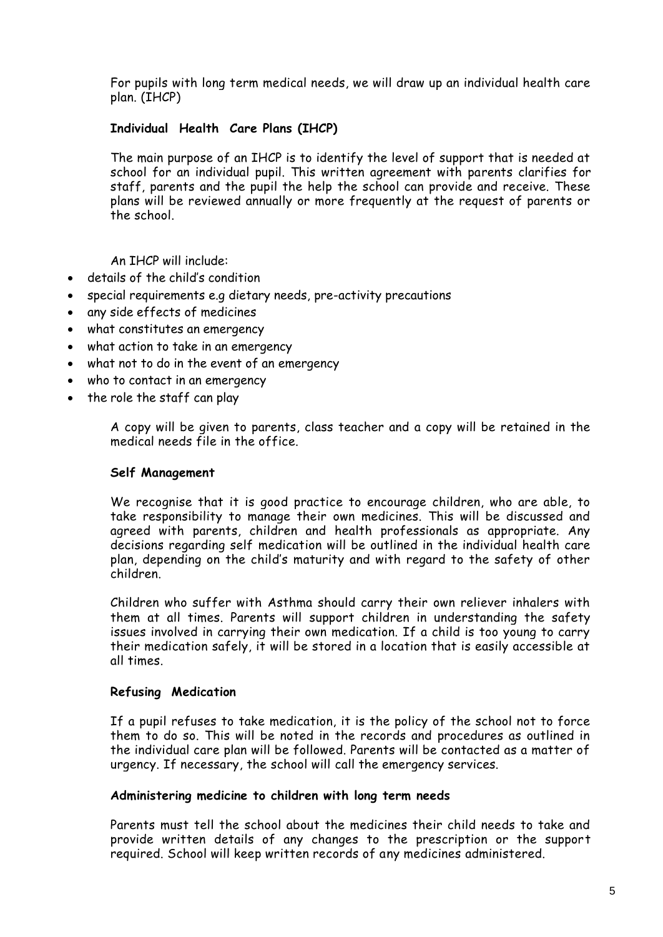For pupils with long term medical needs, we will draw up an individual health care plan. (IHCP)

## **Individual Health Care Plans (IHCP)**

The main purpose of an IHCP is to identify the level of support that is needed at school for an individual pupil. This written agreement with parents clarifies for staff, parents and the pupil the help the school can provide and receive. These plans will be reviewed annually or more frequently at the request of parents or the school.

An IHCP will include:

- details of the child's condition
- special requirements e.g dietary needs, pre-activity precautions
- any side effects of medicines
- what constitutes an emergency
- what action to take in an emergency
- what not to do in the event of an emergency
- who to contact in an emergency
- the role the staff can play

A copy will be given to parents, class teacher and a copy will be retained in the medical needs file in the office.

#### **Self Management**

We recognise that it is good practice to encourage children, who are able, to take responsibility to manage their own medicines. This will be discussed and agreed with parents, children and health professionals as appropriate. Any decisions regarding self medication will be outlined in the individual health care plan, depending on the child's maturity and with regard to the safety of other children.

Children who suffer with Asthma should carry their own reliever inhalers with them at all times. Parents will support children in understanding the safety issues involved in carrying their own medication. If a child is too young to carry their medication safely, it will be stored in a location that is easily accessible at all times.

#### **Refusing Medication**

If a pupil refuses to take medication, it is the policy of the school not to force them to do so. This will be noted in the records and procedures as outlined in the individual care plan will be followed. Parents will be contacted as a matter of urgency. If necessary, the school will call the emergency services.

### **Administering medicine to children with long term needs**

Parents must tell the school about the medicines their child needs to take and provide written details of any changes to the prescription or the support required. School will keep written records of any medicines administered.